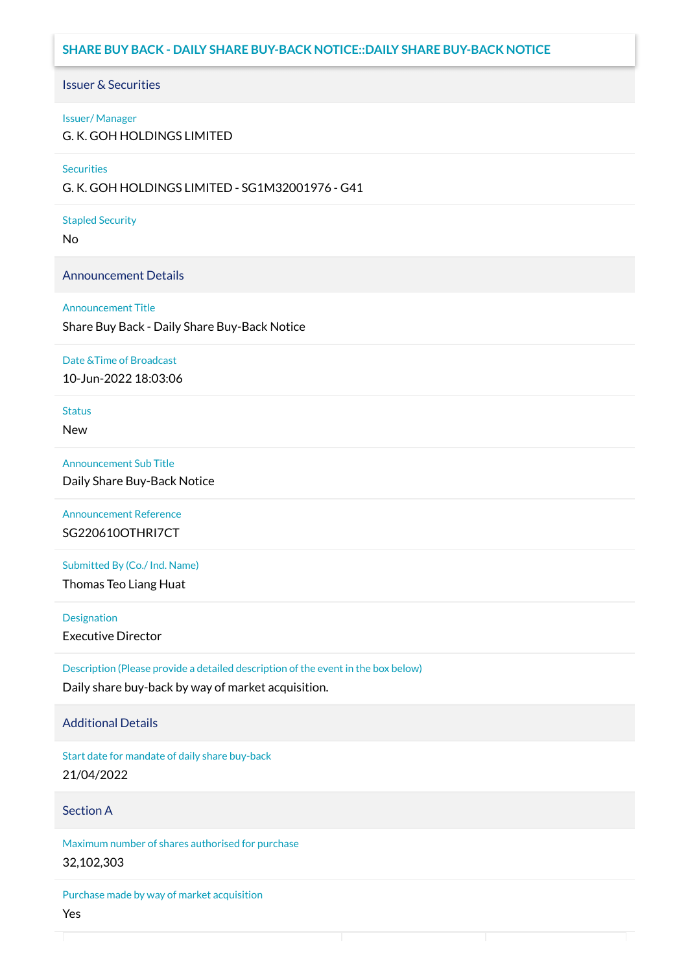# **SHARE BUY BACK - DAILY SHARE BUY-BACK NOTICE::DAILY SHARE BUY-BACK NOTICE**

## Issuer & Securities

### Issuer/ Manager

G. K. GOH HOLDINGS LIMITED

### **Securities**

G. K. GOH HOLDINGS LIMITED - SG1M32001976 - G41

### Stapled Security

No

## Announcement Details

### Announcement Title

Share Buy Back - Daily Share Buy-Back Notice

### Date &Time of Broadcast

10-Jun-2022 18:03:06

# **Status**

New

## Announcement Sub Title

Daily Share Buy-Back Notice

Announcement Reference SG220610OTHRI7CT

Submitted By (Co./ Ind. Name)

Thomas Teo Liang Huat

**Designation** 

Executive Director

Description (Please provide a detailed description of the event in the box below) Daily share buy-back by way of market acquisition.

## Additional Details

Start date for mandate of daily share buy-back 21/04/2022

## Section A

Maximum number of shares authorised for purchase 32,102,303

Purchase made by way of market acquisition Yes